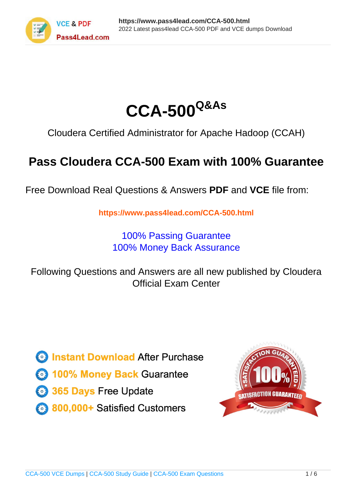



Cloudera Certified Administrator for Apache Hadoop (CCAH)

# **Pass Cloudera CCA-500 Exam with 100% Guarantee**

Free Download Real Questions & Answers **PDF** and **VCE** file from:

**https://www.pass4lead.com/CCA-500.html**

100% Passing Guarantee 100% Money Back Assurance

Following Questions and Answers are all new published by Cloudera Official Exam Center

**C** Instant Download After Purchase

**83 100% Money Back Guarantee** 

- 365 Days Free Update
- 800,000+ Satisfied Customers

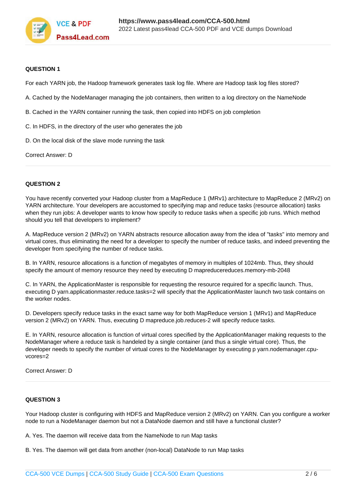

## **QUESTION 1**

For each YARN job, the Hadoop framework generates task log file. Where are Hadoop task log files stored?

- A. Cached by the NodeManager managing the job containers, then written to a log directory on the NameNode
- B. Cached in the YARN container running the task, then copied into HDFS on job completion
- C. In HDFS, in the directory of the user who generates the job
- D. On the local disk of the slave mode running the task

Correct Answer: D

# **QUESTION 2**

You have recently converted your Hadoop cluster from a MapReduce 1 (MRv1) architecture to MapReduce 2 (MRv2) on YARN architecture. Your developers are accustomed to specifying map and reduce tasks (resource allocation) tasks when they run jobs: A developer wants to know how specify to reduce tasks when a specific job runs. Which method should you tell that developers to implement?

A. MapReduce version 2 (MRv2) on YARN abstracts resource allocation away from the idea of "tasks" into memory and virtual cores, thus eliminating the need for a developer to specify the number of reduce tasks, and indeed preventing the developer from specifying the number of reduce tasks.

B. In YARN, resource allocations is a function of megabytes of memory in multiples of 1024mb. Thus, they should specify the amount of memory resource they need by executing D mapreducereduces.memory-mb-2048

C. In YARN, the ApplicationMaster is responsible for requesting the resource required for a specific launch. Thus, executing D yarn.applicationmaster.reduce.tasks=2 will specify that the ApplicationMaster launch two task contains on the worker nodes.

D. Developers specify reduce tasks in the exact same way for both MapReduce version 1 (MRv1) and MapReduce version 2 (MRv2) on YARN. Thus, executing D mapreduce.job.reduces-2 will specify reduce tasks.

E. In YARN, resource allocation is function of virtual cores specified by the ApplicationManager making requests to the NodeManager where a reduce task is handeled by a single container (and thus a single virtual core). Thus, the developer needs to specify the number of virtual cores to the NodeManager by executing p yarn.nodemanager.cpuvcores=2

Correct Answer: D

### **QUESTION 3**

Your Hadoop cluster is configuring with HDFS and MapReduce version 2 (MRv2) on YARN. Can you configure a worker node to run a NodeManager daemon but not a DataNode daemon and still have a functional cluster?

A. Yes. The daemon will receive data from the NameNode to run Map tasks

B. Yes. The daemon will get data from another (non-local) DataNode to run Map tasks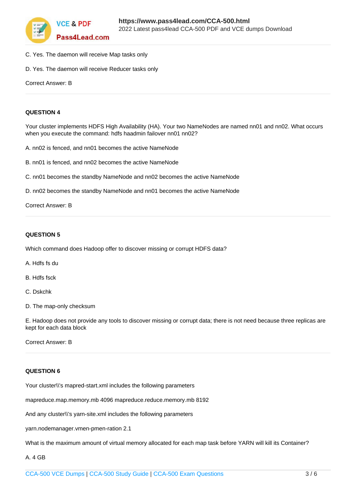

- C. Yes. The daemon will receive Map tasks only
- D. Yes. The daemon will receive Reducer tasks only

```
Correct Answer: B
```
# **QUESTION 4**

Your cluster implements HDFS High Availability (HA). Your two NameNodes are named nn01 and nn02. What occurs when you execute the command: hdfs haadmin failover nn01 nn02?

- A. nn02 is fenced, and nn01 becomes the active NameNode
- B. nn01 is fenced, and nn02 becomes the active NameNode
- C. nn01 becomes the standby NameNode and nn02 becomes the active NameNode
- D. nn02 becomes the standby NameNode and nn01 becomes the active NameNode

#### Correct Answer: B

# **QUESTION 5**

Which command does Hadoop offer to discover missing or corrupt HDFS data?

- A. Hdfs fs du
- B. Hdfs fsck
- C. Dskchk
- D. The map-only checksum

E. Hadoop does not provide any tools to discover missing or corrupt data; there is not need because three replicas are kept for each data block

Correct Answer: B

### **QUESTION 6**

Your cluster\\'s mapred-start.xml includes the following parameters

mapreduce.map.memory.mb 4096 mapreduce.reduce.memory.mb 8192

And any cluster\\'s yarn-site.xml includes the following parameters

yarn.nodemanager.vmen-pmen-ration 2.1

What is the maximum amount of virtual memory allocated for each map task before YARN will kill its Container?

## A. 4 GB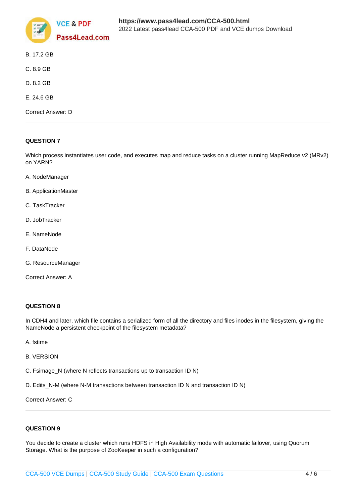

| B. 17.2 GB        |
|-------------------|
| C. 8.9 GB         |
| D. 8.2 GB         |
| E. 24.6 GB        |
| Correct Answer: D |
|                   |

# **QUESTION 7**

Which process instantiates user code, and executes map and reduce tasks on a cluster running MapReduce v2 (MRv2) on YARN?

- A. NodeManager
- B. ApplicationMaster
- C. TaskTracker
- D. JobTracker
- E. NameNode
- F. DataNode
- G. ResourceManager
- Correct Answer: A

# **QUESTION 8**

In CDH4 and later, which file contains a serialized form of all the directory and files inodes in the filesystem, giving the NameNode a persistent checkpoint of the filesystem metadata?

- A. fstime
- B. VERSION
- C. Fsimage N (where N reflects transactions up to transaction ID N)
- D. Edits\_N-M (where N-M transactions between transaction ID N and transaction ID N)

Correct Answer: C

# **QUESTION 9**

You decide to create a cluster which runs HDFS in High Availability mode with automatic failover, using Quorum Storage. What is the purpose of ZooKeeper in such a configuration?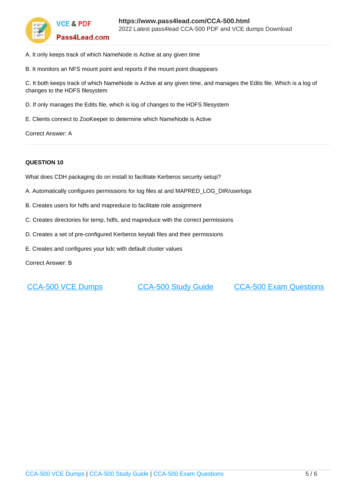

- A. It only keeps track of which NameNode is Active at any given time
- B. It monitors an NFS mount point and reports if the mount point disappears

C. It both keeps track of which NameNode is Active at any given time, and manages the Edits file. Which is a log of changes to the HDFS filesystem

- D. If only manages the Edits file, which is log of changes to the HDFS filesystem
- E. Clients connect to ZooKeeper to determine which NameNode is Active

Correct Answer: A

# **QUESTION 10**

What does CDH packaging do on install to facilitate Kerberos security setup?

- A. Automatically configures permissions for log files at and MAPRED\_LOG\_DIR/userlogs
- B. Creates users for hdfs and mapreduce to facilitate role assignment
- C. Creates directories for temp, hdfs, and mapreduce with the correct permissions
- D. Creates a set of pre-configured Kerberos keytab files and their permissions
- E. Creates and configures your kdc with default cluster values

Correct Answer: B

[CCA-500 VCE Dumps](https://www.pass4lead.com/CCA-500.html) [CCA-500 Study Guide](https://www.pass4lead.com/CCA-500.html) [CCA-500 Exam Questions](https://www.pass4lead.com/CCA-500.html)